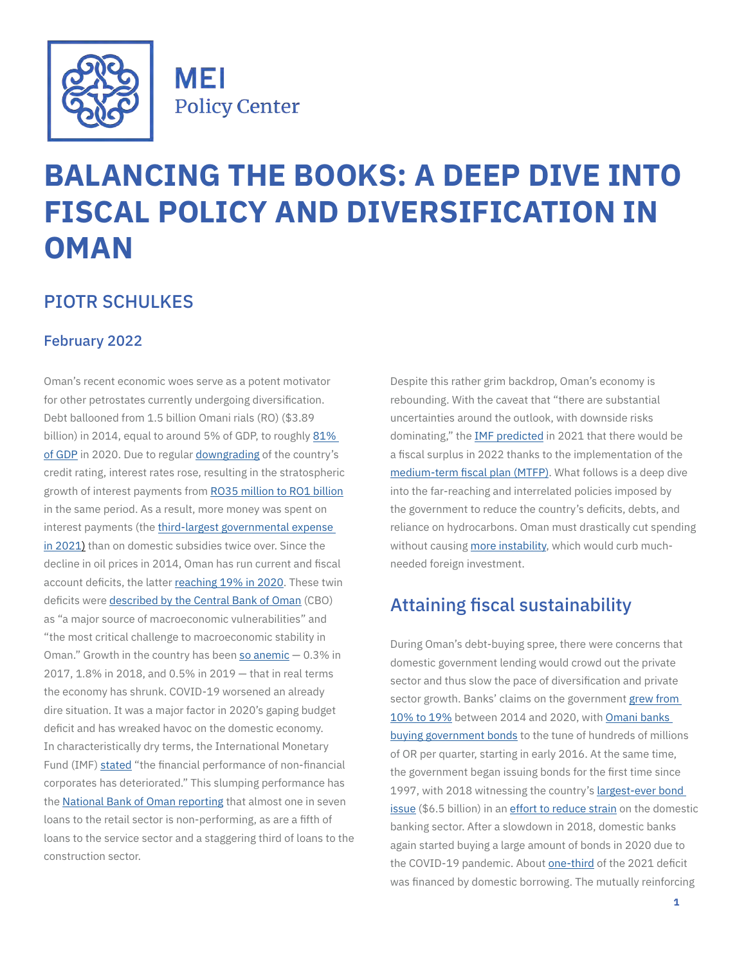

**MEI Policy Center** 

# **BALANCING THE BOOKS: A DEEP DIVE INTO FISCAL POLICY AND DIVERSIFICATION IN OMAN**

# PIOTR SCHULKES

#### February 2022

Oman's recent economic woes serve as a potent motivator for other petrostates currently undergoing diversification. Debt ballooned from 1.5 billion Omani rials (RO) (\$3.89 billion) in 2014, equal to around 5% of GDP, to roughly [81%](https://www.reuters.com/world/middle-east/oman-deficit-debt-set-plunge-after-covid-19-shock-imf-2021-09-12/)  [of GDP](https://www.reuters.com/world/middle-east/oman-deficit-debt-set-plunge-after-covid-19-shock-imf-2021-09-12/) in 2020. Due to regular [downgrading](https://www.fitchratings.com/entity/oman-88305864#ratings) of the country's credit rating, interest rates rose, resulting in the stratospheric growth of interest payments from [RO35 million to RO1 billion](https://mof.gov.om/Portals/1/documents/Tawazon/MTFP - English.pdf) in the same period. As a result, more money was spent on interest payments (the [third-largest governmental expense](https://mof.gov.om/Portals/1/documents/Financial-reports/The-state-budget/2021/2021(Eng).pdf)  [in 2021](https://mof.gov.om/Portals/1/documents/Financial-reports/The-state-budget/2021/2021(Eng).pdf)) than on domestic subsidies twice over. Since the decline in oil prices in 2014, Oman has run current and fiscal account deficits, the latter [reaching 19% in 2020.](https://www.aljazeera.com/news/2020/10/16/oman-downgraded-for-2nd-time-this-year) These twin deficits were [described by the Central Bank of Oman](https://cbo.gov.om/sites/assets/Documents/English/Publications/FSR/FinancialStabilityReport2020.pdf) (CBO) as "a major source of macroeconomic vulnerabilities" and "the most critical challenge to macroeconomic stability in Oman." Growth in the country has been [so anemic](https://mof.gov.om/Portals/1/documents/Financial-reports/The-state-budget/2021/2021(Eng).pdf)  $-0.3\%$  in 2017, 1.8% in 2018, and 0.5% in 2019 — that in real terms the economy has shrunk. COVID-19 worsened an already dire situation. It was a major factor in 2020's gaping budget deficit and has wreaked havoc on the domestic economy. In characteristically dry terms, the International Monetary Fund (IMF) [stated](https://www.imf.org/en/Publications/CR/Issues/2021/09/10/Oman-2021-Article-IV-Consultation-Press-Release-Staff-Report-and-Statement-by-the-Executive-465431) "the financial performance of non-financial corporates has deteriorated." This slumping performance has the [National Bank of Oman reporting](https://www.nbo.om/en/PublishingImages/Pages/Forms/AllItems/NBO 2020_AR_combined_ENG_lores.pdf?csrt=2525259230380058936) that almost one in seven loans to the retail sector is non-performing, as are a fifth of loans to the service sector and a staggering third of loans to the construction sector.

Despite this rather grim backdrop, Oman's economy is rebounding. With the caveat that "there are substantial uncertainties around the outlook, with downside risks dominating," the **[IMF predicted](https://www.imf.org/en/Publications/CR/Issues/2021/09/10/Oman-2021-Article-IV-Consultation-Press-Release-Staff-Report-and-Statement-by-the-Executive-465431)** in 2021 that there would be a fiscal surplus in 2022 thanks to the implementation of the [medium-term fiscal plan](https://mof.gov.om/Portals/1/documents/Tawazon/MTFP - English.pdf) (MTFP). What follows is a deep dive into the far-reaching and interrelated policies imposed by the government to reduce the country's deficits, debts, and reliance on hydrocarbons. Oman must drastically cut spending without causing [more instability,](https://www.aljazeera.com/news/2021/5/25/protest-in-oman-over-poor-economy-jobs-continue-for-third-day) which would curb muchneeded foreign investment.

# Attaining fiscal sustainability

During Oman's debt-buying spree, there were concerns that domestic government lending would crowd out the private sector and thus slow the pace of diversification and private sector growth. Banks' claims on the government [grew from](https://www.imf.org/en/Publications/CR/Issues/2021/09/10/Oman-2021-Article-IV-Consultation-Press-Release-Staff-Report-and-Statement-by-the-Executive-465431)  [10% to 19%](https://www.imf.org/en/Publications/CR/Issues/2021/09/10/Oman-2021-Article-IV-Consultation-Press-Release-Staff-Report-and-Statement-by-the-Executive-465431) between 2014 and 2020, with [Omani banks](https://cbo.gov.om/sites/assets/Documents/English/Publications/QuarterlyBulletins/2021/QuarterlyStatisticalBulletinMarch2021En.pdf)  [buying government bonds](https://cbo.gov.om/sites/assets/Documents/English/Publications/QuarterlyBulletins/2021/QuarterlyStatisticalBulletinMarch2021En.pdf) to the tune of hundreds of millions of OR per quarter, starting in early 2016. At the same time, the government began issuing bonds for the first time since 1997, with 2018 witnessing the country's largest-ever bond [issue](https://www.ft.com/content/2aa420ad-a356-3204-a2f2-58dac9b278d9) (\$6.5 billion) in an [effort to reduce strain](https://cbo.gov.om/sites/assets/Documents/English/Publications/FSR/FinancialStabilityReport2020.pdf) on the domestic banking sector. After a slowdown in 2018, domestic banks again started buying a large amount of bonds in 2020 due to the COVID-19 pandemic. About [one-third](https://www.pwc.com/m1/en/tax/documents/2021/oman-budget-2021-five-year-development-plan-focus-on-diversification-maintaining-deficit.pdf) of the 2021 deficit was financed by domestic borrowing. The mutually reinforcing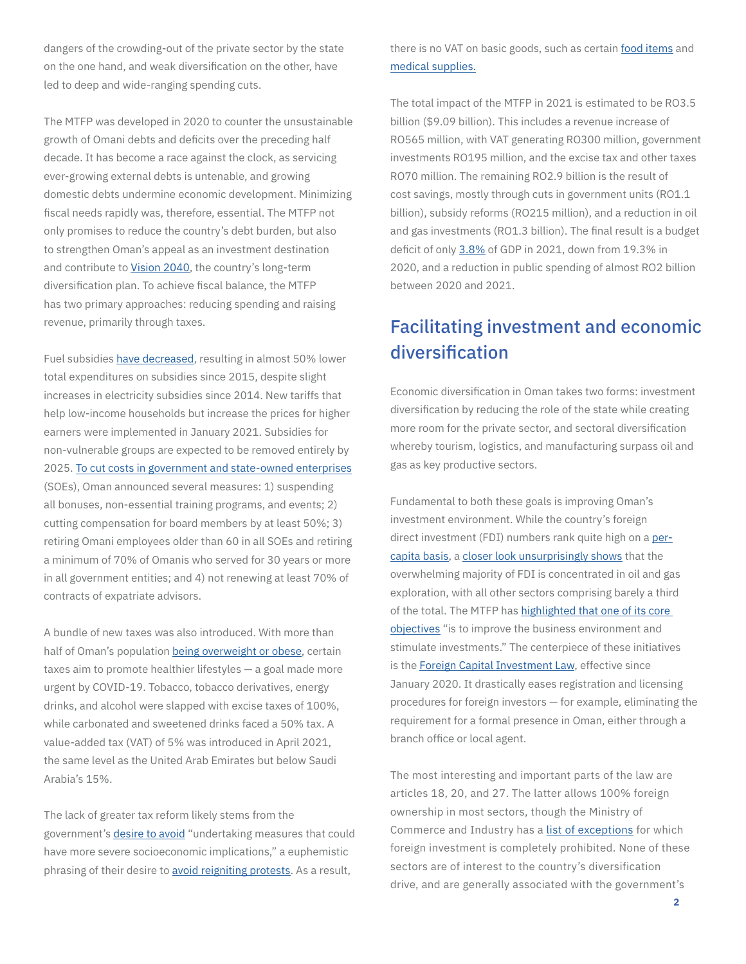dangers of the crowding-out of the private sector by the state on the one hand, and weak diversification on the other, have led to deep and wide-ranging spending cuts.

The MTFP was developed in 2020 to counter the unsustainable growth of Omani debts and deficits over the preceding half decade. It has become a race against the clock, as servicing ever-growing external debts is untenable, and growing domestic debts undermine economic development. Minimizing fiscal needs rapidly was, therefore, essential. The MTFP not only promises to reduce the country's debt burden, but also to strengthen Oman's appeal as an investment destination and contribute to [Vision 2040,](http://www.oman2040.om/) the country's long-term diversification plan. To achieve fiscal balance, the MTFP has two primary approaches: reducing spending and raising revenue, primarily through taxes.

Fuel subsidies [have decreased](https://mof.gov.om/Portals/1/documents/Tawazon/MTFP - English.pdf), resulting in almost 50% lower total expenditures on subsidies since 2015, despite slight increases in electricity subsidies since 2014. New tariffs that help low-income households but increase the prices for higher earners were implemented in January 2021. Subsidies for non-vulnerable groups are expected to be removed entirely by 2025. [To cut costs in government and state-owned enterprises](https://cbo.gov.om/sites/assets/Documents/English/Publications/FSR/FinancialStabilityReport2020.pdf) (SOEs), Oman announced several measures: 1) suspending all bonuses, non-essential training programs, and events; 2) cutting compensation for board members by at least 50%; 3) retiring Omani employees older than 60 in all SOEs and retiring a minimum of 70% of Omanis who served for 30 years or more in all government entities; and 4) not renewing at least 70% of contracts of expatriate advisors.

A bundle of new taxes was also introduced. With more than half of Oman's population [being overweight or obese,](https://www.moh.gov.om/en/-/--1562) certain taxes aim to promote healthier lifestyles — a goal made more urgent by COVID-19. Tobacco, tobacco derivatives, energy drinks, and alcohol were slapped with excise taxes of 100%, while carbonated and sweetened drinks faced a 50% tax. A value-added tax (VAT) of 5% was introduced in April 2021, the same level as the United Arab Emirates but below Saudi Arabia's 15%.

The lack of greater tax reform likely stems from the government's [desire to avoid](https://mof.gov.om/Portals/1/documents/Tawazon/MTFP - English.pdf) "undertaking measures that could have more severe socioeconomic implications," a euphemistic phrasing of their desire to [avoid reigniting protests](https://www.aljazeera.com/news/2021/5/24/rare-protests-in-oman-over-jobs-draw-massive-police-response). As a result,

there is no VAT on basic goods, such as certain [food items](https://mjla.gov.om/eng/legislation/decisions/details.aspx?Id=1658&type=D) and [medical supplies](https://mjla.gov.om/eng/legislation/decisions/details.aspx?Id=1656&type=D).

The total impact of the MTFP in 2021 is estimated to be RO3.5 billion (\$9.09 billion). This includes a revenue increase of RO565 million, with VAT generating RO300 million, government investments RO195 million, and the excise tax and other taxes RO70 million. The remaining RO2.9 billion is the result of cost savings, mostly through cuts in government units (RO1.1 billion), subsidy reforms (RO215 million), and a reduction in oil and gas investments (RO1.3 billion). The final result is a budget deficit of only [3.8%](https://www.reuters.com/markets/rates-bonds/oman-estimates-2021-budget-deficit-38-gdp-2021-12-30/) of GDP in 2021, down from 19.3% in 2020, and a reduction in public spending of almost RO2 billion between 2020 and 2021.

# Facilitating investment and economic diversification

Economic diversification in Oman takes two forms: investment diversification by reducing the role of the state while creating more room for the private sector, and sectoral diversification whereby tourism, logistics, and manufacturing surpass oil and gas as key productive sectors.

Fundamental to both these goals is improving Oman's investment environment. While the country's foreign direct investment (FDI) numbers rank quite high on a [per](https://data.worldbank.org/indicator/BX.KLT.DINV.WD.GD.ZS?locations=OM&most_recent_value_desc=true)[capita basis](https://data.worldbank.org/indicator/BX.KLT.DINV.WD.GD.ZS?locations=OM&most_recent_value_desc=true), a [closer look unsurprisingly shows](https://data.gov.om/pysiyl/foreign-investment) that the overwhelming majority of FDI is concentrated in oil and gas exploration, with all other sectors comprising barely a third of the total. The MTFP has [highlighted that one of its core](https://mof.gov.om/Portals/1/documents/Tawazon/MTFP - English.pdf)  [objectives](https://mof.gov.om/Portals/1/documents/Tawazon/MTFP - English.pdf) "is to improve the business environment and stimulate investments." The centerpiece of these initiatives is the [Foreign Capital Investment Law,](https://mjla.gov.om/eng/legislation/decrees/details.aspx?Id=1091&type=L) effective since January 2020. It drastically eases registration and licensing procedures for foreign investors — for example, eliminating the requirement for a formal presence in Oman, either through a branch office or local agent.

The most interesting and important parts of the law are articles 18, 20, and 27. The latter allows 100% foreign ownership in most sectors, though the Ministry of Commerce and Industry has a [list of exceptions](https://www.pwc.com/m1/en/tax/documents/2020/oman-new-foreign-capital-investment-law-prohibited-activities.pdf) for which foreign investment is completely prohibited. None of these sectors are of interest to the country's diversification drive, and are generally associated with the government's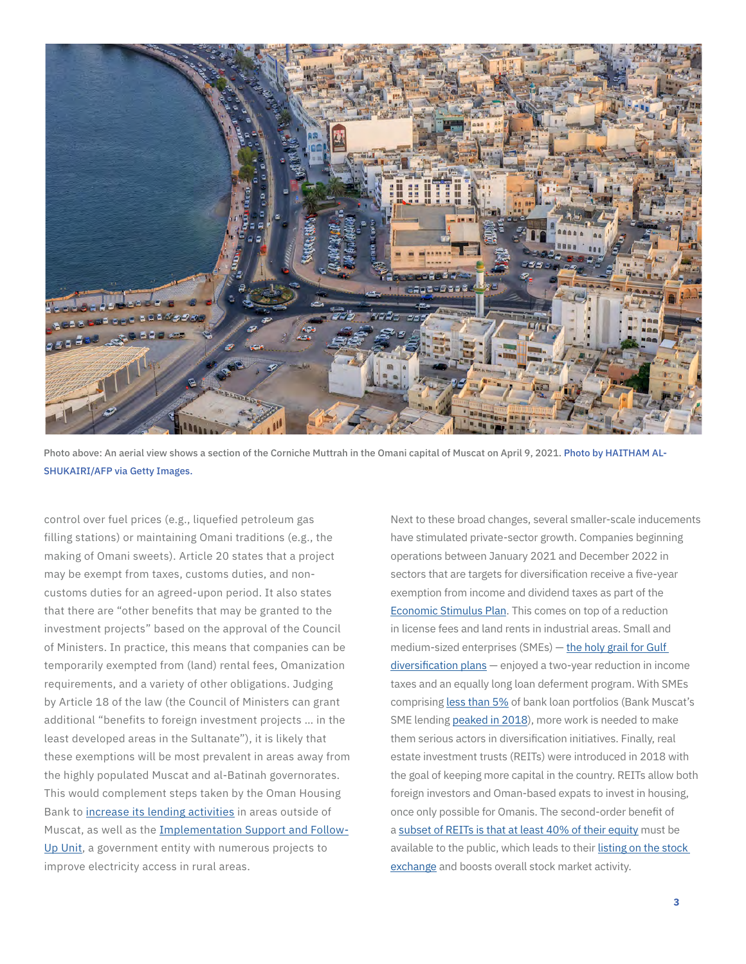

Photo above: An aerial view shows a section of the Corniche Muttrah in the Omani capital of Muscat on April 9, 2021. Photo by HAITHAM AL-SHUKAIRI/AFP via Getty Images.

control over fuel prices (e.g., liquefied petroleum gas filling stations) or maintaining Omani traditions (e.g., the making of Omani sweets). Article 20 states that a project may be exempt from taxes, customs duties, and noncustoms duties for an agreed-upon period. It also states that there are "other benefits that may be granted to the investment projects" based on the approval of the Council of Ministers. In practice, this means that companies can be temporarily exempted from (land) rental fees, Omanization requirements, and a variety of other obligations. Judging by Article 18 of the law (the Council of Ministers can grant additional "benefits to foreign investment projects … in the least developed areas in the Sultanate"), it is likely that these exemptions will be most prevalent in areas away from the highly populated Muscat and al-Batinah governorates. This would complement steps taken by the Oman Housing Bank to [increase its lending activities](https://www.ohb.co.om/uploadsall/Financials/2020-10-18-10-22-8Annual Report2019-compressed.pdf) in areas outside of Muscat, as well as the [Implementation Support and Follow-](https://www.isfu.gov.om/AboutUs)[Up Unit,](https://www.isfu.gov.om/AboutUs) a government entity with numerous projects to improve electricity access in rural areas.

Next to these broad changes, several smaller-scale inducements have stimulated private-sector growth. Companies beginning operations between January 2021 and December 2022 in sectors that are targets for diversification receive a five-year exemption from income and dividend taxes as part of the [Economic Stimulus Plan.](https://mof.gov.om/Portals/1/documents/Tawazon/Economic Stimulus Plan.pdf) This comes on top of a reduction in license fees and land rents in industrial areas. Small and medium-sized enterprises (SMEs) — [the holy grail for Gulf](https://mei.edu/publications/mega-projects-and-small-enterprises-understanding-saudi-arabian-banks-role-economic)  [diversification plans](https://mei.edu/publications/mega-projects-and-small-enterprises-understanding-saudi-arabian-banks-role-economic) — enjoyed a two-year reduction in income taxes and an equally long loan deferment program. With SMEs comprising [less than 5%](https://www.imf.org/en/Publications/CR/Issues/2021/09/10/Oman-2021-Article-IV-Consultation-Press-Release-Staff-Report-and-Statement-by-the-Executive-465431) of bank loan portfolios (Bank Muscat's SME lending [peaked in 2018](https://www.bankmuscat.com/en/investorrelations/AnnualReports/annual_report_2018_en.pdf)), more work is needed to make them serious actors in diversification initiatives. Finally, real estate investment trusts (REITs) were introduced in 2018 with the goal of keeping more capital in the country. REITs allow both foreign investors and Oman-based expats to invest in housing, once only possible for Omanis. The second-order benefit of a [subset of REITs is that at least 40% of their equity](https://cma.gov.om/Home/DecisionsCirculars/DecisionsCirculars?sectionFilter=&searchText=&yearFilter=2018&TypeFilter=4) must be available to the public, which leads to their [listing on the stock](https://www.msx.om/snapshot.aspx?s=OMRF)  [exchange](https://www.msx.om/snapshot.aspx?s=OMRF) and boosts overall stock market activity.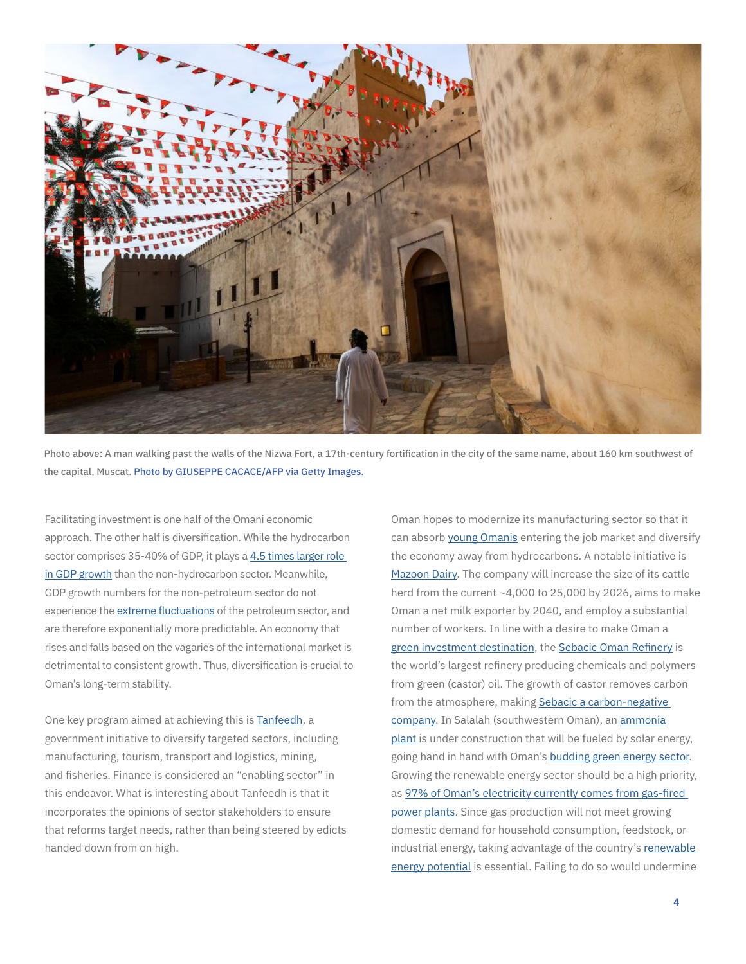

Photo above: A man walking past the walls of the Nizwa Fort, a 17th-century fortification in the city of the same name, about 160 km southwest of the capital, Muscat. Photo by GIUSEPPE CACACE/AFP via Getty Images.

Facilitating investment is one half of the Omani economic approach. The other half is diversification. While the hydrocarbon sector comprises 35-40% of GDP, it plays a [4.5 times larger role](https://cbo.gov.om/sites/assets/Documents/English/Publications/FSR/FinancialStabilityReport2020.pdf)  [in GDP growth](https://cbo.gov.om/sites/assets/Documents/English/Publications/FSR/FinancialStabilityReport2020.pdf) than the non-hydrocarbon sector. Meanwhile, GDP growth numbers for the non-petroleum sector do not experience the [extreme fluctuations](https://cbo.gov.om/sites/assets/Documents/English/Publications/QuarterlyBulletins/2021/QuarterlyStatisticalBulletinMarch2021En.pdf) of the petroleum sector, and are therefore exponentially more predictable. An economy that rises and falls based on the vagaries of the international market is detrimental to consistent growth. Thus, diversification is crucial to Oman's long-term stability.

One key program aimed at achieving this is [Tanfeedh,](https://omanuna.oman.om/en/home-top-level/eparticipation/tanfeedh) a government initiative to diversify targeted sectors, including manufacturing, tourism, transport and logistics, mining, and fisheries. Finance is considered an "enabling sector" in this endeavor. What is interesting about Tanfeedh is that it incorporates the opinions of sector stakeholders to ensure that reforms target needs, rather than being steered by edicts handed down from on high.

Oman hopes to modernize its manufacturing sector so that it can absorb [young Omanis](https://fred.stlouisfed.org/series/SLUEM1524ZSOMN) entering the job market and diversify the economy away from hydrocarbons. A notable initiative is [Mazoon Dairy](https://www.mazoondairy.om/). The company will increase the size of its cattle herd from the current ~4,000 to 25,000 by 2026, aims to make Oman a net milk exporter by 2040, and employ a substantial number of workers. In line with a desire to make Oman a [green investment destination,](https://www.reuters.com/business/sustainable-business/oman-working-esg-framework-widen-funding-base-sources-2021-09-06/) the [Sebacic Oman Refinery](http://www.sebacic.co/about.php) is the world's largest refinery producing chemicals and polymers from green (castor) oil. The growth of castor removes carbon from the atmosphere, making Sebacic a carbon-negative [company.](https://isfu.gov.om/ISFU-ANNUALREPORT(2019)-Eng.pdf) In Salalah (southwestern Oman), an [ammonia](https://businessgateways.com/news/2021/12/14/1bn-project-create-green-ammonia-export-hub)  [plant](https://businessgateways.com/news/2021/12/14/1bn-project-create-green-ammonia-export-hub) is under construction that will be fueled by solar energy, going hand in hand with Oman's [budding green energy sector.](https://www.bioenergyconsult.com/solar-oman/) Growing the renewable energy sector should be a high priority, as [97% of Oman's electricity currently comes from gas-](https://www.scp.gov.om/PDF/TANFEEDH HAND BOOK 2017English.pdf)fired power plants. Since gas production will not meet growing domestic demand for household consumption, feedstock, or industrial energy, taking advantage of the country's [renewable](https://www.irena.org/publications/2014/Nov/Renewables-Readiness-Assessment-Sultanate-of-Oman)  [energy potential](https://www.irena.org/publications/2014/Nov/Renewables-Readiness-Assessment-Sultanate-of-Oman) is essential. Failing to do so would undermine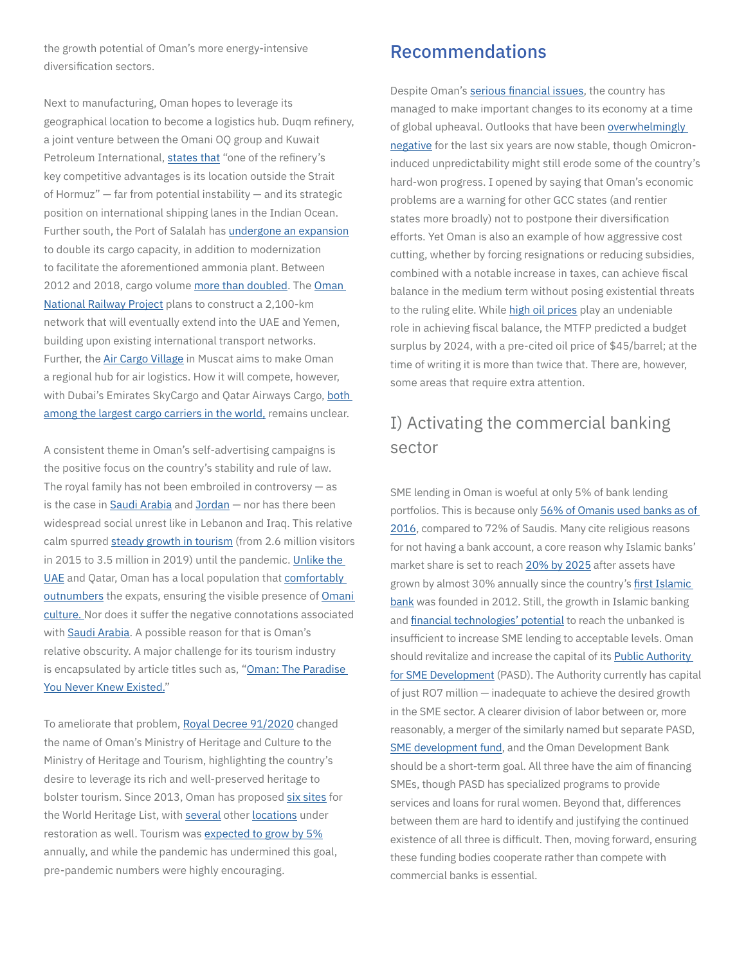the growth potential of Oman's more energy-intensive diversification sectors.

Next to manufacturing, Oman hopes to leverage its geographical location to become a logistics hub. Duqm refinery, a joint venture between the Omani OQ group and Kuwait Petroleum International, [states that](https://isfu.gov.om/ISFU-ANNUALREPORT(2019)-Eng.pdf) "one of the refinery's key competitive advantages is its location outside the Strait of Hormuz" — far from potential instability — and its strategic position on international shipping lanes in the Indian Ocean. Further south, the Port of Salalah has [undergone an expansion](https://www.ship-technology.com/projects/port-of-salalah-expansion/) to double its cargo capacity, in addition to modernization to facilitate the aforementioned ammonia plant. Between 2012 and 2018, cargo volume [more than doubled](https://www.salalahport.com.om/index.php?lang=en&name=General Cargo Terminal&itemid=62). The [Oman](https://metenders.com/project_cms/project/oman-national-railway-project)  [National Railway Project](https://metenders.com/project_cms/project/oman-national-railway-project) plans to construct a 2,100-km network that will eventually extend into the UAE and Yemen, building upon existing international transport networks. Further, the [Air Cargo Village](https://metenders.com/project_cms/project/air-cargo-village-project-muscat-international-airport) in Muscat aims to make Oman a regional hub for air logistics. How it will compete, however, with Dubai's Emirates SkyCargo and Qatar Airways Cargo, [both](https://www.aircargonews.net/airlines/top-25-cargo-airlines-fedex-retains-the-top-spot-as-qatar-climbs/)  [among the largest cargo carriers in the world,](https://www.aircargonews.net/airlines/top-25-cargo-airlines-fedex-retains-the-top-spot-as-qatar-climbs/) remains unclear.

A consistent theme in Oman's self-advertising campaigns is the positive focus on the country's stability and rule of law. The royal family has not been embroiled in controversy  $-$  as is the case in [Saudi Arabia](https://www.washingtonpost.com/graphics/2019/opinions/global-opinions/jamal-khashoggi-one-year-later/) and [Jordan](https://www.bbc.com/news/world-58781350) — nor has there been widespread social unrest like in Lebanon and Iraq. This relative calm spurred [steady growth](https://www.ncsi.gov.om/Elibrary/LibraryContentDoc/bar_Tourism Statistics Bulletin 2019 6 Issue_ba798d31-1a1b-4ce2-b817-4bc658bfed6c.pdf) in tourism (from 2.6 million visitors in 2015 to 3.5 million in 2019) until the pandemic. [Unlike the](https://gulfnews.com/opinion/op-eds/uaes-identity-crisis-is-a-growing-concern-1.806970)  [UAE](https://gulfnews.com/opinion/op-eds/uaes-identity-crisis-is-a-growing-concern-1.806970) and Qatar, Oman has a local population that [comfortably](https://www.zawya.com/mena/en/economy/story/Expatriate_population_in_Oman_drops_to_37_amid_pandemic-SNG_240442010/)  [outnumbers](https://www.zawya.com/mena/en/economy/story/Expatriate_population_in_Oman_drops_to_37_amid_pandemic-SNG_240442010/) the expats, ensuring the visible presence of **Omani** [culture](https://omantourism.gov.om/wps/portal/mot/tourism/oman/home/sultanate/faces/!ut/p/a1/04_Sj9CPykssy0xPLMnMz0vMAfGjzOLN_Nx8AlxdDA38LQwNDDyDLXzNgoOdjQ38TYEKIoEKDHAARwNC-sP1o8BKnN0dPUzMfYB6nLydDTy9XQO9Q4x9DQ0cDTEUmFgYGXi6OHm4mFv6Ak0zgyrA44aC3AiDTE9HRQDp1-aC/dl5/d5/L2dJQSEvUUt3QS80SmlFL1o2XzlLN0VTMjA2ME9MQjcwSVNVSDFTR0IzODIw/). Nor does it suffer the negative connotations associated with [Saudi Arabia.](https://news.gallup.com/poll/1624/perceptions-foreign-countries.aspx) A possible reason for that is Oman's relative obscurity. A major challenge for its tourism industry is encapsulated by article titles such as, "[Oman: The Paradise](https://www.traveldailymedia.com/oman-the-paradise-you-never-knew-existed/)  [You Never Knew Existed](https://www.traveldailymedia.com/oman-the-paradise-you-never-knew-existed/)."

To ameliorate that problem, [Royal Decree 91/2020](https://www.mjla.gov.om/eng/legislation/decrees/details.aspx?Id=1241&type=L) changed the name of Oman's Ministry of Heritage and Culture to the Ministry of Heritage and Tourism, highlighting the country's desire to leverage its rich and well-preserved heritage to bolster tourism. Since 2013, Oman has proposed [six sites](https://whc.unesco.org/en/statesparties/om/) for the World Heritage List, with [several](https://www.omanobserver.om/article/1109286/oman/tourism/rustaq-fort-restoration-gains-pace) other [locations](https://www.muscatdaily.com/2021/06/02/nakhal-fort-restoration-work-in-advanced-stages-ministry/) under restoration as well. Tourism was [expected to grow by 5%](https://www.scp.gov.om/PDF/TANFEEDH HAND BOOK 2017English.pdf) annually, and while the pandemic has undermined this goal, pre-pandemic numbers were highly encouraging.

#### Recommendations

Despite Oman's [serious financial issues](https://www.omanobserver.om/article/5350/Front Stories/oman-enacts-measures-to-tackle-public-debt-pile), the country has managed to make important changes to its economy at a time of global upheaval. Outlooks that have been overwhelmingly [negative](https://tradingeconomics.com/oman/rating) for the last six years are now stable, though Omicroninduced unpredictability might still erode some of the country's hard-won progress. I opened by saying that Oman's economic problems are a warning for other GCC states (and rentier states more broadly) not to postpone their diversification efforts. Yet Oman is also an example of how aggressive cost cutting, whether by forcing resignations or reducing subsidies, combined with a notable increase in taxes, can achieve fiscal balance in the medium term without posing existential threats to the ruling elite. While [high oil prices](https://www.nytimes.com/2021/10/04/business/opec-meeting-oil-production.html) play an undeniable role in achieving fiscal balance, the MTFP predicted a budget surplus by 2024, with a pre-cited oil price of \$45/barrel; at the time of writing it is more than twice that. There are, however, some areas that require extra attention.

# I) Activating the commercial banking sector

SME lending in Oman is woeful at only 5% of bank lending portfolios. This is because only 56% of Omanis used banks as of [2016,](https://www.fitchratings.com/research/islamic-finance/oman-islamic-banking-growth-to-continue-despite-pandemic-23-03-2021) compared to 72% of Saudis. Many cite religious reasons for not having a bank account, a core reason why Islamic banks' market share is set to reach [20% by 2025](https://www.moodys.com/researchandratings/region/middle-east/oman/042053/042053|005006/-/-1/0/-/0/-/-/-/-/-/-/-/-/global/pdf/-/rra/) after assets have grown by almost 30% annually since the country's [first Islamic](https://www.banknizwa.om/)  [bank](https://www.banknizwa.om/) was founded in 2012. Still, the growth in Islamic banking and [financial technologies' potential](https://mei.edu/publications/changing-saudi-banking-landscape) to reach the unbanked is insufficient to increase SME lending to acceptable levels. Oman should revitalize and increase the capital of its **Public Authority** [for SME Development](https://omanportal.gov.om/wps/wcm/connect/en/site/home/gov/gov1/gov5governmentorganizations/raffd/raffd_1) (PASD). The Authority currently has capital of just RO7 million — inadequate to achieve the desired growth in the SME sector. A clearer division of labor between or, more reasonably, a merger of the similarly named but separate PASD, [SME development fund](https://www.linkedin.com/company/smedevelopmentfund/about/), and the Oman Development Bank should be a short-term goal. All three have the aim of financing SMEs, though PASD has specialized programs to provide services and loans for rural women. Beyond that, differences between them are hard to identify and justifying the continued existence of all three is difficult. Then, moving forward, ensuring these funding bodies cooperate rather than compete with commercial banks is essential.